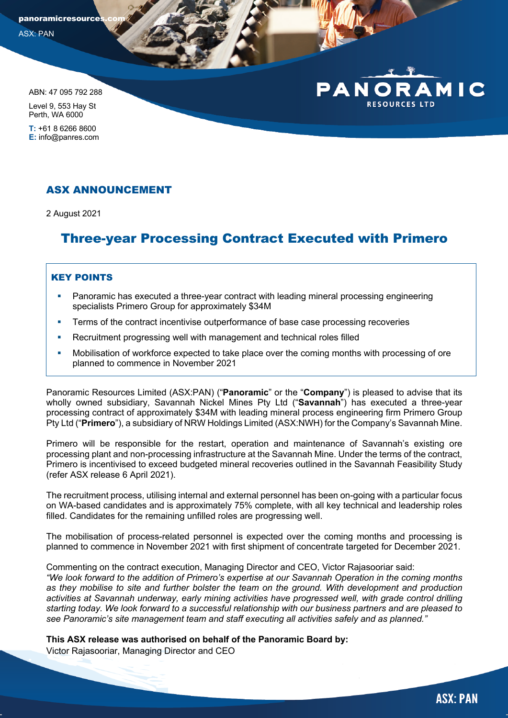panoramicresource ASX: PAN

ABN: 47 095 792 288

Level 9, 553 Hay St Perth, WA 6000

**T:** +61 8 6266 8600 **E:** info@panres.com

## ASX ANNOUNCEMENT

2 August 2021

# Three-year Processing Contract Executed with Primero

### KEY POINTS

- § Panoramic has executed a three-year contract with leading mineral processing engineering specialists Primero Group for approximately \$34M
- **•** Terms of the contract incentivise outperformance of base case processing recoveries
- Recruitment progressing well with management and technical roles filled
- § Mobilisation of workforce expected to take place over the coming months with processing of ore planned to commence in November 2021

Panoramic Resources Limited (ASX:PAN) ("**Panoramic**" or the "**Company**") is pleased to advise that its wholly owned subsidiary, Savannah Nickel Mines Pty Ltd ("**Savannah**") has executed a three-year processing contract of approximately \$34M with leading mineral process engineering firm Primero Group Pty Ltd ("**Primero**"), a subsidiary of NRW Holdings Limited (ASX:NWH) for the Company's Savannah Mine.

Primero will be responsible for the restart, operation and maintenance of Savannah's existing ore processing plant and non-processing infrastructure at the Savannah Mine. Under the terms of the contract, Primero is incentivised to exceed budgeted mineral recoveries outlined in the Savannah Feasibility Study (refer ASX release 6 April 2021).

The recruitment process, utilising internal and external personnel has been on-going with a particular focus on WA-based candidates and is approximately 75% complete, with all key technical and leadership roles filled. Candidates for the remaining unfilled roles are progressing well.

The mobilisation of process-related personnel is expected over the coming months and processing is planned to commence in November 2021 with first shipment of concentrate targeted for December 2021.

Commenting on the contract execution, Managing Director and CEO, Victor Rajasooriar said: *"We look forward to the addition of Primero's expertise at our Savannah Operation in the coming months* 

*as they mobilise to site and further bolster the team on the ground. With development and production activities at Savannah underway, early mining activities have progressed well, with grade control drilling starting today. We look forward to a successful relationship with our business partners and are pleased to see Panoramic's site management team and staff executing all activities safely and as planned."*

**This ASX release was authorised on behalf of the Panoramic Board by:**

Victor Rajasooriar, Managing Director and CEO

AMIC